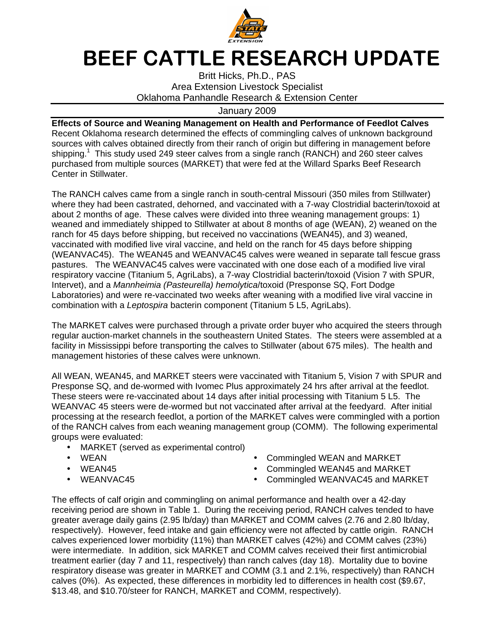

## BEEF CATTLE RESEARCH UPDATE

Britt Hicks, Ph.D., PAS Area Extension Livestock Specialist Oklahoma Panhandle Research & Extension Center

## January 2009

**Effects of Source and Weaning Management on Health and Performance of Feedlot Calves**  Recent Oklahoma research determined the effects of commingling calves of unknown background sources with calves obtained directly from their ranch of origin but differing in management before shipping.<sup>1</sup> This study used 249 steer calves from a single ranch (RANCH) and 260 steer calves purchased from multiple sources (MARKET) that were fed at the Willard Sparks Beef Research Center in Stillwater.

The RANCH calves came from a single ranch in south-central Missouri (350 miles from Stillwater) where they had been castrated, dehorned, and vaccinated with a 7-way Clostridial bacterin/toxoid at about 2 months of age. These calves were divided into three weaning management groups: 1) weaned and immediately shipped to Stillwater at about 8 months of age (WEAN), 2) weaned on the ranch for 45 days before shipping, but received no vaccinations (WEAN45), and 3) weaned, vaccinated with modified live viral vaccine, and held on the ranch for 45 days before shipping (WEANVAC45). The WEAN45 and WEANVAC45 calves were weaned in separate tall fescue grass pastures. The WEANVAC45 calves were vaccinated with one dose each of a modified live viral respiratory vaccine (Titanium 5, AgriLabs), a 7-way Clostridial bacterin/toxoid (Vision 7 with SPUR, Intervet), and a Mannheimia (Pasteurella) hemolytica/toxoid (Presponse SQ, Fort Dodge Laboratories) and were re-vaccinated two weeks after weaning with a modified live viral vaccine in combination with a Leptospira bacterin component (Titanium 5 L5, AgriLabs).

The MARKET calves were purchased through a private order buyer who acquired the steers through regular auction-market channels in the southeastern United States. The steers were assembled at a facility in Mississippi before transporting the calves to Stillwater (about 675 miles). The health and management histories of these calves were unknown.

All WEAN, WEAN45, and MARKET steers were vaccinated with Titanium 5, Vision 7 with SPUR and Presponse SQ, and de-wormed with Ivomec Plus approximately 24 hrs after arrival at the feedlot. These steers were re-vaccinated about 14 days after initial processing with Titanium 5 L5. The WEANVAC 45 steers were de-wormed but not vaccinated after arrival at the feedyard. After initial processing at the research feedlot, a portion of the MARKET calves were commingled with a portion of the RANCH calves from each weaning management group (COMM). The following experimental groups were evaluated:

- MARKET (served as experimental control)
- 
- 
- 
- WEAN Commingled WEAN and MARKET
- WEAN45 WEAN45 Commingled WEAN45 and MARKET<br>• WEANVAC45 Commingled WEANVAC45 and MARI
	- Commingled WEANVAC45 and MARKET

The effects of calf origin and commingling on animal performance and health over a 42-day receiving period are shown in Table 1. During the receiving period, RANCH calves tended to have greater average daily gains (2.95 lb/day) than MARKET and COMM calves (2.76 and 2.80 lb/day, respectively). However, feed intake and gain efficiency were not affected by cattle origin. RANCH calves experienced lower morbidity (11%) than MARKET calves (42%) and COMM calves (23%) were intermediate. In addition, sick MARKET and COMM calves received their first antimicrobial treatment earlier (day 7 and 11, respectively) than ranch calves (day 18). Mortality due to bovine respiratory disease was greater in MARKET and COMM (3.1 and 2.1%, respectively) than RANCH calves (0%). As expected, these differences in morbidity led to differences in health cost (\$9.67, \$13.48, and \$10.70/steer for RANCH, MARKET and COMM, respectively).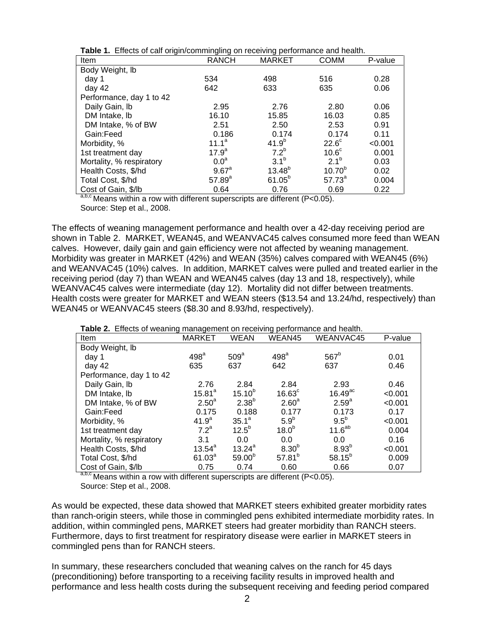| <b>Table 1.</b> Effects of calf origin/commingling on receiving performance and health. |                  |               |                    |         |  |  |  |  |
|-----------------------------------------------------------------------------------------|------------------|---------------|--------------------|---------|--|--|--|--|
| Item                                                                                    | <b>RANCH</b>     | <b>MARKET</b> | <b>COMM</b>        | P-value |  |  |  |  |
| Body Weight, Ib                                                                         |                  |               |                    |         |  |  |  |  |
| day 1                                                                                   | 534              | 498           | 516                | 0.28    |  |  |  |  |
| day $42$                                                                                | 642              | 633           | 635                | 0.06    |  |  |  |  |
| Performance, day 1 to 42                                                                |                  |               |                    |         |  |  |  |  |
| Daily Gain, Ib                                                                          | 2.95             | 2.76          | 2.80               | 0.06    |  |  |  |  |
| DM Intake, lb                                                                           | 16.10            | 15.85         | 16.03              | 0.85    |  |  |  |  |
| DM Intake, % of BW                                                                      | 2.51             | 2.50          | 2.53               | 0.91    |  |  |  |  |
| Gain:Feed                                                                               | 0.186            | 0.174         | 0.174              | 0.11    |  |  |  |  |
| Morbidity, %                                                                            | $11.1^a$         | $41.9^{b}$    | $22.6^\circ$       | < 0.001 |  |  |  |  |
| 1st treatment day                                                                       | $17.9^a$         | $7.2^b$       | 10.6 <sup>c</sup>  | 0.001   |  |  |  |  |
| Mortality, % respiratory                                                                | 0.0 <sup>a</sup> | $3.1^{b}$     | $2.1^{b}$          | 0.03    |  |  |  |  |
| Health Costs, \$/hd                                                                     | $9.67^{\circ}$   | $13.48^{b}$   | 10.70 <sup>b</sup> | 0.02    |  |  |  |  |
| Total Cost, \$/hd                                                                       | $57.89^{a}$      | $61.05^{b}$   | $57.73^{a}$        | 0.004   |  |  |  |  |
| Cost of Gain, \$/lb                                                                     | 0.64             | 0.76          | 0.69               | 0.22    |  |  |  |  |

**Table 1.** Effects of calf origin/commingling on receiving performance and health.

 $a,b,c$  Means within a row with different superscripts are different (P<0.05). Source: Step et al., 2008.

The effects of weaning management performance and health over a 42-day receiving period are shown in Table 2. MARKET, WEAN45, and WEANVAC45 calves consumed more feed than WEAN calves. However, daily gain and gain efficiency were not affected by weaning management. Morbidity was greater in MARKET (42%) and WEAN (35%) calves compared with WEAN45 (6%) and WEANVAC45 (10%) calves. In addition, MARKET calves were pulled and treated earlier in the receiving period (day 7) than WEAN and WEAN45 calves (day 13 and 18, respectively), while WEANVAC45 calves were intermediate (day 12). Mortality did not differ between treatments. Health costs were greater for MARKET and WEAN steers (\$13.54 and 13.24/hd, respectively) than WEAN45 or WEANVAC45 steers (\$8.30 and 8.93/hd, respectively).

**Table 2.** Effects of weaning management on receiving performance and health.

| Item                     | <b>MARKET</b>      | WEAN             | WEAN45            | WEANVAC45             | P-value |
|--------------------------|--------------------|------------------|-------------------|-----------------------|---------|
| Body Weight, lb          |                    |                  |                   |                       |         |
| day 1                    | 498 <sup>a</sup>   | 509 <sup>a</sup> | 498 <sup>a</sup>  | 567 <sup>b</sup>      | 0.01    |
| day 42                   | 635                | 637              | 642               | 637                   | 0.46    |
| Performance, day 1 to 42 |                    |                  |                   |                       |         |
| Daily Gain, Ib           | 2.76               | 2.84             | 2.84              | 2.93                  | 0.46    |
| DM Intake, lb            | $15.81^{a}$        | $15.10^{b}$      | $16.63^{\circ}$   | $16.49$ <sup>ac</sup> | < 0.001 |
| DM Intake, % of BW       | 2.50 <sup>a</sup>  | $2.38^{b}$       | 2.60 <sup>a</sup> | $2.59^{a}$            | < 0.001 |
| Gain:Feed                | 0.175              | 0.188            | 0.177             | 0.173                 | 0.17    |
| Morbidity, %             | 41.9 <sup>a</sup>  | $35.1^a$         | 5.9 <sup>b</sup>  | $9.5^{\circ}$         | < 0.001 |
| 1st treatment day        | 7.2 <sup>a</sup>   | $12.5^{b}$       | 18.0 <sup>b</sup> | 11.6 <sup>ab</sup>    | 0.004   |
| Mortality, % respiratory | 3.1                | 0.0              | 0.0               | 0.0                   | 0.16    |
| Health Costs, \$/hd      | $13.54^{a}$        | $13.24^{a}$      | 8.30 <sup>b</sup> | 8.93 <sup>b</sup>     | < 0.001 |
| Total Cost, \$/hd        | 61.03 <sup>a</sup> | $59.00^{b}$      | $57.81^{b}$       | $58.15^{b}$           | 0.009   |
| Cost of Gain, \$/lb      | 0.75               | 0.74             | 0.60              | 0.66                  | 0.07    |

Means within a row with different superscripts are different (P<0.05). Source: Step et al., 2008.

As would be expected, these data showed that MARKET steers exhibited greater morbidity rates than ranch-origin steers, while those in commingled pens exhibited intermediate morbidity rates. In addition, within commingled pens, MARKET steers had greater morbidity than RANCH steers. Furthermore, days to first treatment for respiratory disease were earlier in MARKET steers in commingled pens than for RANCH steers.

In summary, these researchers concluded that weaning calves on the ranch for 45 days (preconditioning) before transporting to a receiving facility results in improved health and performance and less health costs during the subsequent receiving and feeding period compared